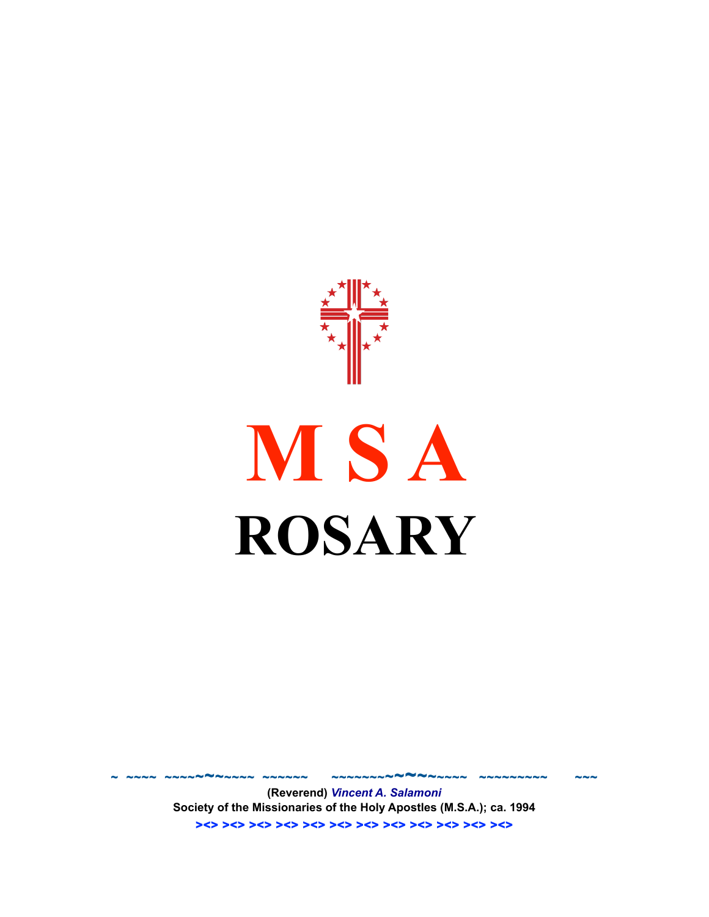

**(Reverend)** *Vincent A. Salamoni* **Society of the Missionaries of the Holy Apostles (M.S.A.); ca. 1994** ><> ><> ><> ><> ><> ><> ><> ><> ><> ><> ><> ><>

~ ~~~~ ~~~~~~~~~~~ ~~~~~~ ~~~~~~~~~~~~~~~~ ~~~~~~~~~ ~~~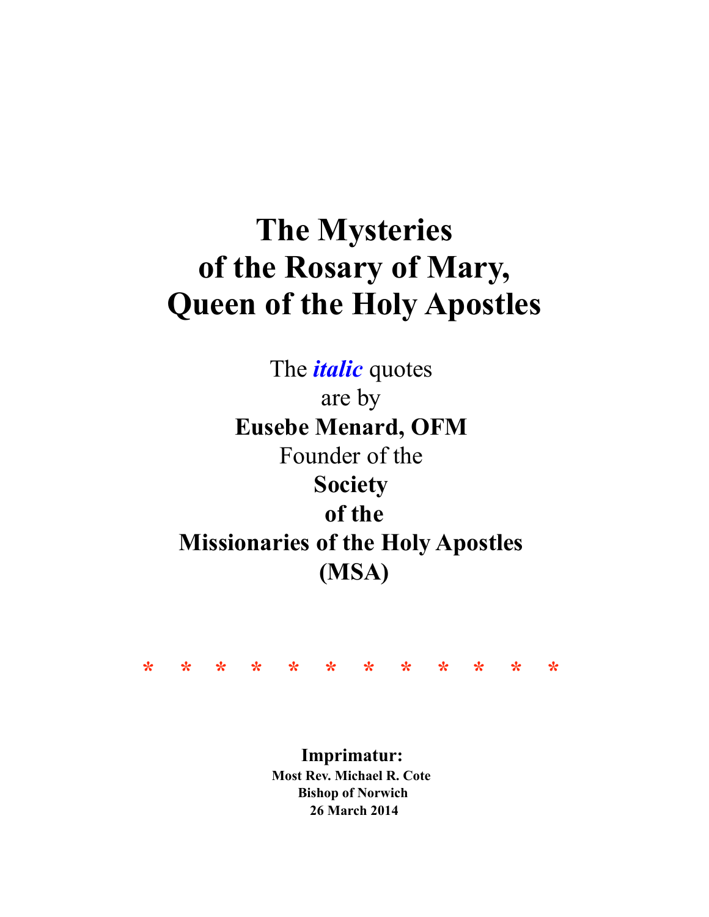# **The Mysteries of the Rosary of Mary, Queen of the Holy Apostles**

The *italic* quotes are by **Eusebe Menard, OFM** Founder of the **Society of the Missionaries of the Holy Apostles (MSA)**



**Imprimatur: Most Rev. Michael R. Cote Bishop of Norwich 26 March 2014**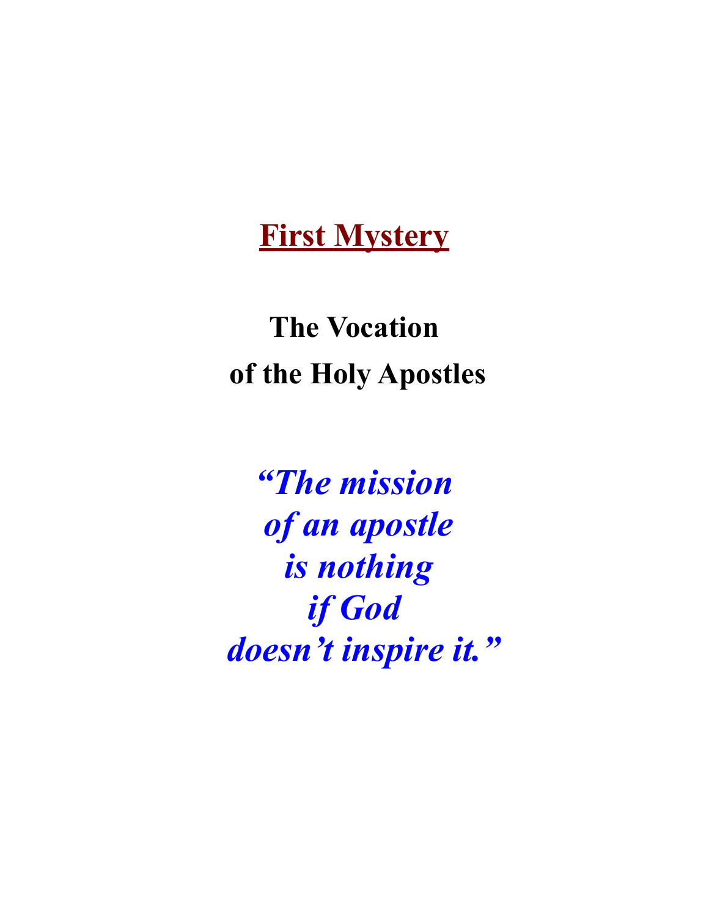#### **First Mystery**

**The Vocation of the Holy Apostles**

*"The mission of an apostle is nothing if God doesn't inspire it."*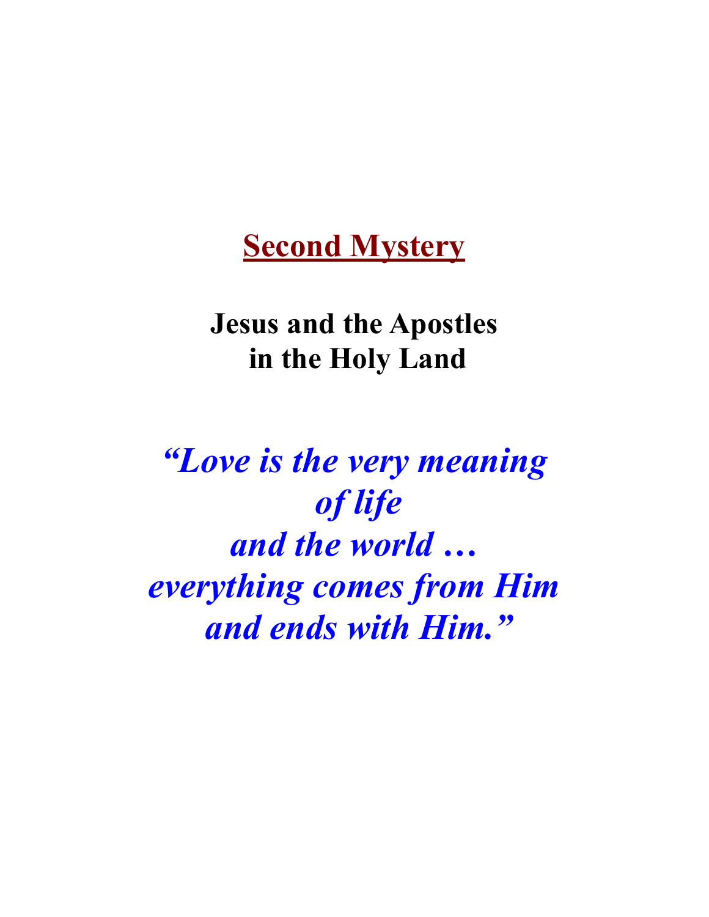## **Second Mystery**

### **Jesus and the Apostles in the Holy Land**

*"Love is the very meaning of life and the world … everything comes from Him and ends with Him."*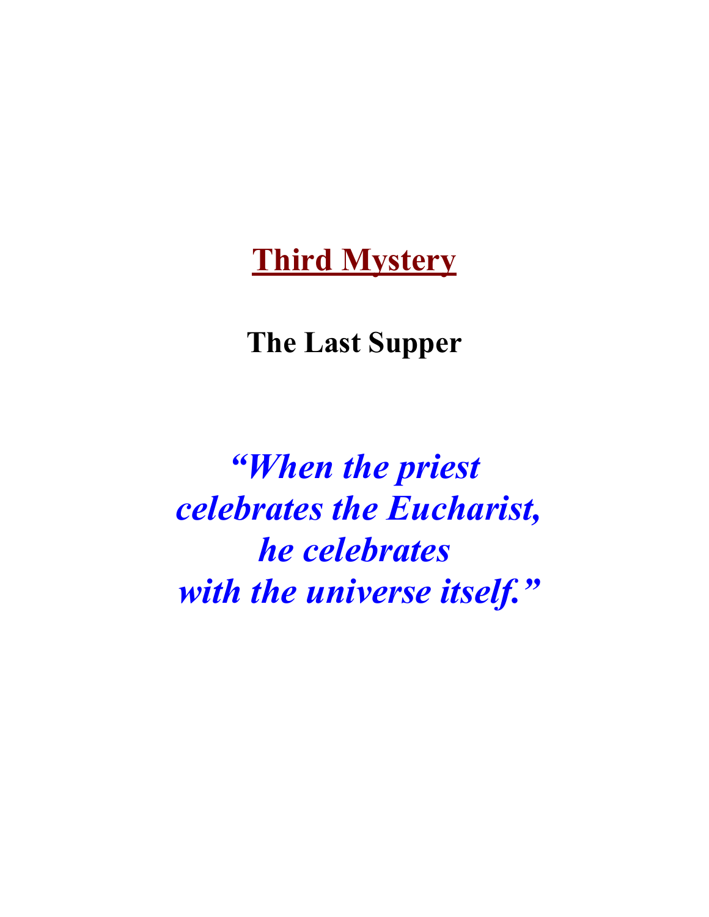#### **Third Mystery**

#### **The Last Supper**

*"When the priest celebrates the Eucharist, he celebrates with the universe itself."*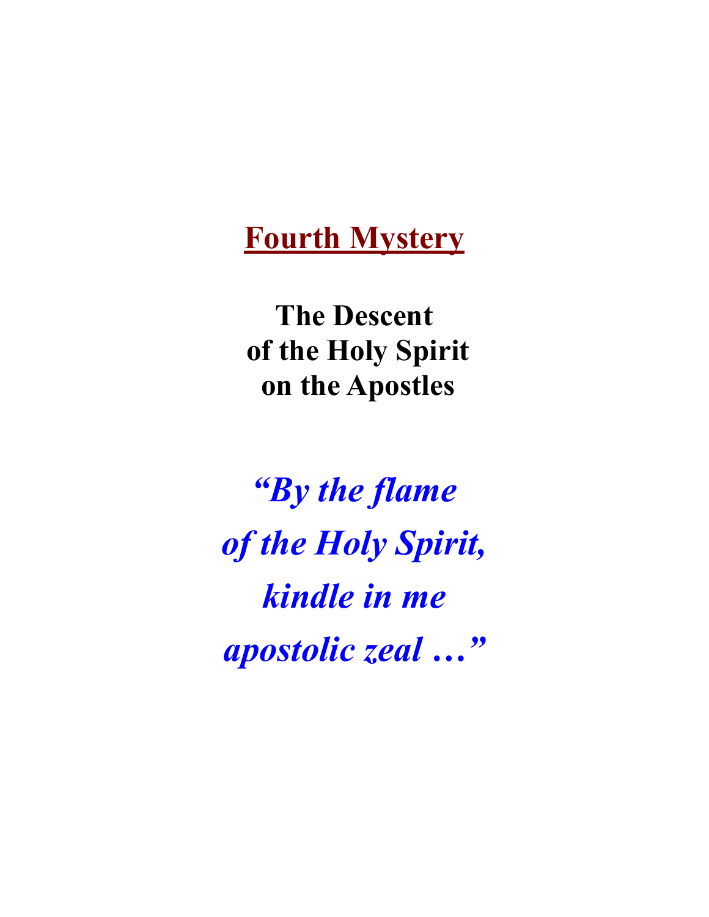### **Fourth Mystery**

**The Descent of the Holy Spirit on the Apostles**

*"By the flame of the Holy Spirit, kindle in me apostolic zeal …"*